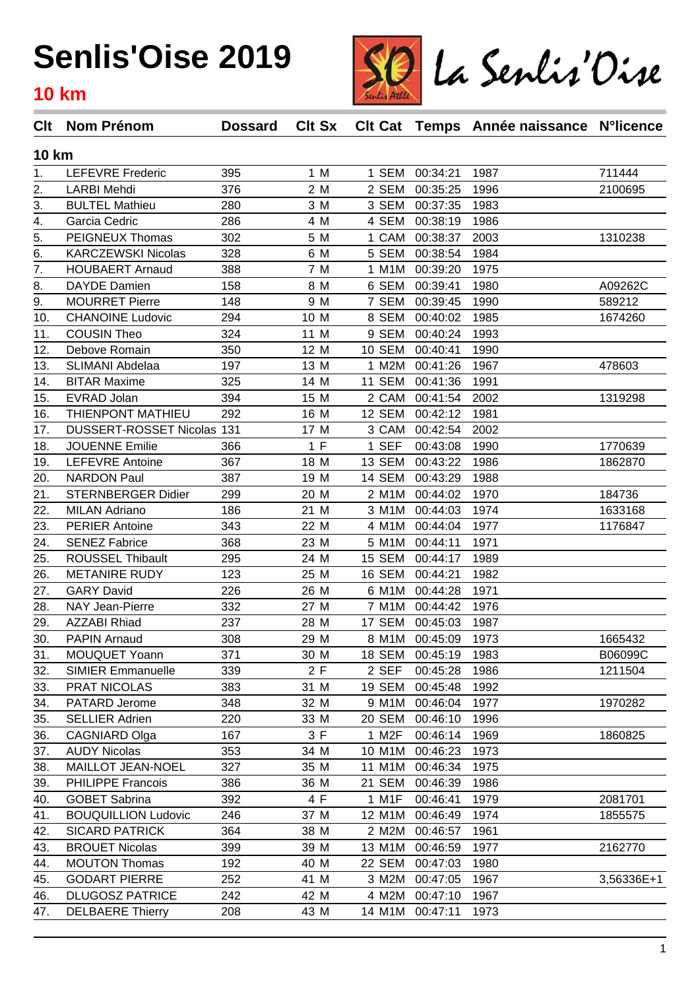

| <b>10 km</b><br><b>LEFEVRE Frederic</b><br>395<br>1 M<br>1 SEM<br>1987<br>711444<br>00:34:21<br>1.<br>376<br>2 M<br>2 SEM<br>2.<br><b>LARBI Mehdi</b><br>00:35:25<br>1996<br>2100695<br>3.<br><b>BULTEL Mathieu</b><br>280<br>3 M<br>3 SEM<br>1983<br>00:37:35<br>286<br>4.<br>4 M<br>4 SEM<br>00:38:19<br>Garcia Cedric<br>1986<br>5.<br><b>PEIGNEUX Thomas</b><br>302<br>5 M<br>00:38:37<br>2003<br>1310238<br>1 CAM<br>6.<br>328<br>6 M<br>5 SEM<br><b>KARCZEWSKI Nicolas</b><br>00:38:54<br>1984<br>$\overline{7}$ .<br>7 M<br><b>HOUBAERT Arnaud</b><br>388<br>1 M1M<br>1975<br>00:39:20<br>8.<br>158<br>DAYDE Damien<br>8 M<br>6 SEM<br>00:39:41<br>1980<br>A09262C<br>9.<br>589212<br><b>MOURRET Pierre</b><br>148<br>9 M<br>7 SEM<br>00:39:45<br>1990<br>10.<br>294<br>10 M<br>1985<br><b>CHANOINE Ludovic</b><br>8 SEM<br>00:40:02<br>1674260<br><b>COUSIN Theo</b><br>324<br>11 M<br>9 SEM<br>1993<br>11.<br>00:40:24<br>12.<br>Debove Romain<br>350<br>12 M<br>10 SEM<br>00:40:41<br>1990<br>197<br>SLIMANI Abdelaa<br>13 M<br>1 M2M<br>1967<br>13.<br>00:41:26<br>478603<br><b>BITAR Maxime</b><br>325<br>14 M<br>11 SEM<br>14.<br>00:41:36<br>1991<br>394<br>15.<br>EVRAD Jolan<br>15 M<br>2 CAM<br>00:41:54<br>2002<br>1319298<br>THIENPONT MATHIEU<br>292<br>12 SEM<br>16 M<br>00:42:12<br>1981<br>16.<br>2002<br>17.<br>DUSSERT-ROSSET Nicolas 131<br>17 M<br>3 CAM<br>00:42:54<br>1 F<br>1 SEF<br><b>JOUENNE Emilie</b><br>366<br>00:43:08<br>1990<br>1770639<br>18.<br>367<br>13 SEM<br>1986<br>19.<br><b>LEFEVRE Antoine</b><br>18 M<br>00:43:22<br>1862870<br>387<br>20.<br><b>NARDON Paul</b><br>19 M<br>14 SEM<br>00:43:29<br>1988<br>21.<br>299<br>2 M1M<br>184736<br><b>STERNBERGER Didier</b><br>20 M<br>00:44:02<br>1970<br>22.<br>186<br><b>MILAN Adriano</b><br>21 M<br>3 M1M<br>00:44:03<br>1974<br>1633168<br><b>PERIER Antoine</b><br>343<br>4 M1M<br>1977<br>23.<br>22 M<br>00:44:04<br>1176847<br>24.<br>368<br><b>SENEZ Fabrice</b><br>23 M<br>5 M1M<br>1971<br>00:44:11<br>295<br>25.<br><b>ROUSSEL Thibault</b><br>24 M<br>15 SEM<br>1989<br>00:44:17<br>123<br>25 M<br>16 SEM<br>26.<br><b>METANIRE RUDY</b><br>00:44:21<br>1982<br><b>GARY David</b><br>226<br>26 M<br>6 M1M<br>00:44:28<br>1971<br>27.<br>28.<br>332<br>NAY Jean-Pierre<br>27 M<br>7 M1M<br>00:44:42<br>1976<br>237<br>29.<br><b>AZZABI Rhiad</b><br>17 SEM<br>1987<br>28 M<br>00:45:03<br>30.<br>308<br>1973<br><b>PAPIN Arnaud</b><br>29 M<br>8 M1M 00:45:09<br>1665432<br>371<br>B06099C<br><b>MOUQUET Yoann</b><br>30 M<br>18 SEM 00:45:19<br>1983<br>31.<br>2F<br>339<br>2 SEF<br>32.<br><b>SIMIER Emmanuelle</b><br>1986<br>1211504<br>00:45:28<br>383<br>33.<br>PRAT NICOLAS<br>31 M<br><b>19 SEM</b><br>00:45:48<br>1992<br>PATARD Jerome<br>348<br>32 M<br>9 M1M<br>00:46:04<br>1977<br>1970282<br>34.<br>220<br>35.<br><b>SELLIER Adrien</b><br>33 M<br>20 SEM<br>00:46:10<br>1996<br>167<br>3F<br>36.<br><b>CAGNIARD Olga</b><br>1 M2F<br>00:46:14<br>1969<br>1860825<br>353<br><b>AUDY Nicolas</b><br>34 M<br>10 M1M<br>1973<br>37.<br>00:46:23<br>MAILLOT JEAN-NOEL<br>327<br>35 M<br>11 M1M<br>38.<br>00:46:34<br>1975<br>386<br>39.<br><b>PHILIPPE Francois</b><br>36 M<br>21 SEM<br>00:46:39<br>1986<br>4 F<br><b>GOBET Sabrina</b><br>392<br>1 M1F<br>2081701<br>40.<br>00:46:41<br>1979<br><b>BOUQUILLION Ludovic</b><br>41.<br>246<br>37 M<br>12 M1M<br>00:46:49<br>1974<br>1855575<br><b>SICARD PATRICK</b><br>364<br>38 M<br>2 M2M<br>00:46:57<br>1961<br>42.<br><b>BROUET Nicolas</b><br>399<br>43.<br>39 M<br>13 M1M<br>00:46:59<br>1977<br>2162770<br>192<br><b>MOUTON Thomas</b><br>40 M<br>22 SEM<br>44.<br>00:47:03<br>1980<br><b>GODART PIERRE</b><br>252<br>41 M<br>3 M2M<br>3,56336E+1<br>45.<br>00:47:05<br>1967<br>46.<br><b>DLUGOSZ PATRICE</b><br>242<br>42 M<br>4 M2M<br>00:47:10<br>1967<br><b>DELBAERE Thierry</b><br>208<br>43 M<br>14 M1M<br>00:47:11<br>1973<br>47. | <b>Clt</b> Nom Prénom | <b>Dossard</b> | <b>Clt Sx</b> |  |  | CIt Cat Temps Année naissance N°licence |  |  |  |  |
|--------------------------------------------------------------------------------------------------------------------------------------------------------------------------------------------------------------------------------------------------------------------------------------------------------------------------------------------------------------------------------------------------------------------------------------------------------------------------------------------------------------------------------------------------------------------------------------------------------------------------------------------------------------------------------------------------------------------------------------------------------------------------------------------------------------------------------------------------------------------------------------------------------------------------------------------------------------------------------------------------------------------------------------------------------------------------------------------------------------------------------------------------------------------------------------------------------------------------------------------------------------------------------------------------------------------------------------------------------------------------------------------------------------------------------------------------------------------------------------------------------------------------------------------------------------------------------------------------------------------------------------------------------------------------------------------------------------------------------------------------------------------------------------------------------------------------------------------------------------------------------------------------------------------------------------------------------------------------------------------------------------------------------------------------------------------------------------------------------------------------------------------------------------------------------------------------------------------------------------------------------------------------------------------------------------------------------------------------------------------------------------------------------------------------------------------------------------------------------------------------------------------------------------------------------------------------------------------------------------------------------------------------------------------------------------------------------------------------------------------------------------------------------------------------------------------------------------------------------------------------------------------------------------------------------------------------------------------------------------------------------------------------------------------------------------------------------------------------------------------------------------------------------------------------------------------------------------------------------------------------------------------------------------------------------------------------------------------------------------------------------------------------------------------------------------------------------------------------------------------------------------------------------------------------------------------------------------------------------------------------------------------------------------------------------------------------------------------------------------------------------------------------------------------------------------------------------------------------------------------------------------------------------------------|-----------------------|----------------|---------------|--|--|-----------------------------------------|--|--|--|--|
|                                                                                                                                                                                                                                                                                                                                                                                                                                                                                                                                                                                                                                                                                                                                                                                                                                                                                                                                                                                                                                                                                                                                                                                                                                                                                                                                                                                                                                                                                                                                                                                                                                                                                                                                                                                                                                                                                                                                                                                                                                                                                                                                                                                                                                                                                                                                                                                                                                                                                                                                                                                                                                                                                                                                                                                                                                                                                                                                                                                                                                                                                                                                                                                                                                                                                                                                                                                                                                                                                                                                                                                                                                                                                                                                                                                                                                                                                                                    |                       |                |               |  |  |                                         |  |  |  |  |
|                                                                                                                                                                                                                                                                                                                                                                                                                                                                                                                                                                                                                                                                                                                                                                                                                                                                                                                                                                                                                                                                                                                                                                                                                                                                                                                                                                                                                                                                                                                                                                                                                                                                                                                                                                                                                                                                                                                                                                                                                                                                                                                                                                                                                                                                                                                                                                                                                                                                                                                                                                                                                                                                                                                                                                                                                                                                                                                                                                                                                                                                                                                                                                                                                                                                                                                                                                                                                                                                                                                                                                                                                                                                                                                                                                                                                                                                                                                    |                       |                |               |  |  |                                         |  |  |  |  |
|                                                                                                                                                                                                                                                                                                                                                                                                                                                                                                                                                                                                                                                                                                                                                                                                                                                                                                                                                                                                                                                                                                                                                                                                                                                                                                                                                                                                                                                                                                                                                                                                                                                                                                                                                                                                                                                                                                                                                                                                                                                                                                                                                                                                                                                                                                                                                                                                                                                                                                                                                                                                                                                                                                                                                                                                                                                                                                                                                                                                                                                                                                                                                                                                                                                                                                                                                                                                                                                                                                                                                                                                                                                                                                                                                                                                                                                                                                                    |                       |                |               |  |  |                                         |  |  |  |  |
|                                                                                                                                                                                                                                                                                                                                                                                                                                                                                                                                                                                                                                                                                                                                                                                                                                                                                                                                                                                                                                                                                                                                                                                                                                                                                                                                                                                                                                                                                                                                                                                                                                                                                                                                                                                                                                                                                                                                                                                                                                                                                                                                                                                                                                                                                                                                                                                                                                                                                                                                                                                                                                                                                                                                                                                                                                                                                                                                                                                                                                                                                                                                                                                                                                                                                                                                                                                                                                                                                                                                                                                                                                                                                                                                                                                                                                                                                                                    |                       |                |               |  |  |                                         |  |  |  |  |
|                                                                                                                                                                                                                                                                                                                                                                                                                                                                                                                                                                                                                                                                                                                                                                                                                                                                                                                                                                                                                                                                                                                                                                                                                                                                                                                                                                                                                                                                                                                                                                                                                                                                                                                                                                                                                                                                                                                                                                                                                                                                                                                                                                                                                                                                                                                                                                                                                                                                                                                                                                                                                                                                                                                                                                                                                                                                                                                                                                                                                                                                                                                                                                                                                                                                                                                                                                                                                                                                                                                                                                                                                                                                                                                                                                                                                                                                                                                    |                       |                |               |  |  |                                         |  |  |  |  |
|                                                                                                                                                                                                                                                                                                                                                                                                                                                                                                                                                                                                                                                                                                                                                                                                                                                                                                                                                                                                                                                                                                                                                                                                                                                                                                                                                                                                                                                                                                                                                                                                                                                                                                                                                                                                                                                                                                                                                                                                                                                                                                                                                                                                                                                                                                                                                                                                                                                                                                                                                                                                                                                                                                                                                                                                                                                                                                                                                                                                                                                                                                                                                                                                                                                                                                                                                                                                                                                                                                                                                                                                                                                                                                                                                                                                                                                                                                                    |                       |                |               |  |  |                                         |  |  |  |  |
|                                                                                                                                                                                                                                                                                                                                                                                                                                                                                                                                                                                                                                                                                                                                                                                                                                                                                                                                                                                                                                                                                                                                                                                                                                                                                                                                                                                                                                                                                                                                                                                                                                                                                                                                                                                                                                                                                                                                                                                                                                                                                                                                                                                                                                                                                                                                                                                                                                                                                                                                                                                                                                                                                                                                                                                                                                                                                                                                                                                                                                                                                                                                                                                                                                                                                                                                                                                                                                                                                                                                                                                                                                                                                                                                                                                                                                                                                                                    |                       |                |               |  |  |                                         |  |  |  |  |
|                                                                                                                                                                                                                                                                                                                                                                                                                                                                                                                                                                                                                                                                                                                                                                                                                                                                                                                                                                                                                                                                                                                                                                                                                                                                                                                                                                                                                                                                                                                                                                                                                                                                                                                                                                                                                                                                                                                                                                                                                                                                                                                                                                                                                                                                                                                                                                                                                                                                                                                                                                                                                                                                                                                                                                                                                                                                                                                                                                                                                                                                                                                                                                                                                                                                                                                                                                                                                                                                                                                                                                                                                                                                                                                                                                                                                                                                                                                    |                       |                |               |  |  |                                         |  |  |  |  |
|                                                                                                                                                                                                                                                                                                                                                                                                                                                                                                                                                                                                                                                                                                                                                                                                                                                                                                                                                                                                                                                                                                                                                                                                                                                                                                                                                                                                                                                                                                                                                                                                                                                                                                                                                                                                                                                                                                                                                                                                                                                                                                                                                                                                                                                                                                                                                                                                                                                                                                                                                                                                                                                                                                                                                                                                                                                                                                                                                                                                                                                                                                                                                                                                                                                                                                                                                                                                                                                                                                                                                                                                                                                                                                                                                                                                                                                                                                                    |                       |                |               |  |  |                                         |  |  |  |  |
|                                                                                                                                                                                                                                                                                                                                                                                                                                                                                                                                                                                                                                                                                                                                                                                                                                                                                                                                                                                                                                                                                                                                                                                                                                                                                                                                                                                                                                                                                                                                                                                                                                                                                                                                                                                                                                                                                                                                                                                                                                                                                                                                                                                                                                                                                                                                                                                                                                                                                                                                                                                                                                                                                                                                                                                                                                                                                                                                                                                                                                                                                                                                                                                                                                                                                                                                                                                                                                                                                                                                                                                                                                                                                                                                                                                                                                                                                                                    |                       |                |               |  |  |                                         |  |  |  |  |
|                                                                                                                                                                                                                                                                                                                                                                                                                                                                                                                                                                                                                                                                                                                                                                                                                                                                                                                                                                                                                                                                                                                                                                                                                                                                                                                                                                                                                                                                                                                                                                                                                                                                                                                                                                                                                                                                                                                                                                                                                                                                                                                                                                                                                                                                                                                                                                                                                                                                                                                                                                                                                                                                                                                                                                                                                                                                                                                                                                                                                                                                                                                                                                                                                                                                                                                                                                                                                                                                                                                                                                                                                                                                                                                                                                                                                                                                                                                    |                       |                |               |  |  |                                         |  |  |  |  |
|                                                                                                                                                                                                                                                                                                                                                                                                                                                                                                                                                                                                                                                                                                                                                                                                                                                                                                                                                                                                                                                                                                                                                                                                                                                                                                                                                                                                                                                                                                                                                                                                                                                                                                                                                                                                                                                                                                                                                                                                                                                                                                                                                                                                                                                                                                                                                                                                                                                                                                                                                                                                                                                                                                                                                                                                                                                                                                                                                                                                                                                                                                                                                                                                                                                                                                                                                                                                                                                                                                                                                                                                                                                                                                                                                                                                                                                                                                                    |                       |                |               |  |  |                                         |  |  |  |  |
|                                                                                                                                                                                                                                                                                                                                                                                                                                                                                                                                                                                                                                                                                                                                                                                                                                                                                                                                                                                                                                                                                                                                                                                                                                                                                                                                                                                                                                                                                                                                                                                                                                                                                                                                                                                                                                                                                                                                                                                                                                                                                                                                                                                                                                                                                                                                                                                                                                                                                                                                                                                                                                                                                                                                                                                                                                                                                                                                                                                                                                                                                                                                                                                                                                                                                                                                                                                                                                                                                                                                                                                                                                                                                                                                                                                                                                                                                                                    |                       |                |               |  |  |                                         |  |  |  |  |
|                                                                                                                                                                                                                                                                                                                                                                                                                                                                                                                                                                                                                                                                                                                                                                                                                                                                                                                                                                                                                                                                                                                                                                                                                                                                                                                                                                                                                                                                                                                                                                                                                                                                                                                                                                                                                                                                                                                                                                                                                                                                                                                                                                                                                                                                                                                                                                                                                                                                                                                                                                                                                                                                                                                                                                                                                                                                                                                                                                                                                                                                                                                                                                                                                                                                                                                                                                                                                                                                                                                                                                                                                                                                                                                                                                                                                                                                                                                    |                       |                |               |  |  |                                         |  |  |  |  |
|                                                                                                                                                                                                                                                                                                                                                                                                                                                                                                                                                                                                                                                                                                                                                                                                                                                                                                                                                                                                                                                                                                                                                                                                                                                                                                                                                                                                                                                                                                                                                                                                                                                                                                                                                                                                                                                                                                                                                                                                                                                                                                                                                                                                                                                                                                                                                                                                                                                                                                                                                                                                                                                                                                                                                                                                                                                                                                                                                                                                                                                                                                                                                                                                                                                                                                                                                                                                                                                                                                                                                                                                                                                                                                                                                                                                                                                                                                                    |                       |                |               |  |  |                                         |  |  |  |  |
|                                                                                                                                                                                                                                                                                                                                                                                                                                                                                                                                                                                                                                                                                                                                                                                                                                                                                                                                                                                                                                                                                                                                                                                                                                                                                                                                                                                                                                                                                                                                                                                                                                                                                                                                                                                                                                                                                                                                                                                                                                                                                                                                                                                                                                                                                                                                                                                                                                                                                                                                                                                                                                                                                                                                                                                                                                                                                                                                                                                                                                                                                                                                                                                                                                                                                                                                                                                                                                                                                                                                                                                                                                                                                                                                                                                                                                                                                                                    |                       |                |               |  |  |                                         |  |  |  |  |
|                                                                                                                                                                                                                                                                                                                                                                                                                                                                                                                                                                                                                                                                                                                                                                                                                                                                                                                                                                                                                                                                                                                                                                                                                                                                                                                                                                                                                                                                                                                                                                                                                                                                                                                                                                                                                                                                                                                                                                                                                                                                                                                                                                                                                                                                                                                                                                                                                                                                                                                                                                                                                                                                                                                                                                                                                                                                                                                                                                                                                                                                                                                                                                                                                                                                                                                                                                                                                                                                                                                                                                                                                                                                                                                                                                                                                                                                                                                    |                       |                |               |  |  |                                         |  |  |  |  |
|                                                                                                                                                                                                                                                                                                                                                                                                                                                                                                                                                                                                                                                                                                                                                                                                                                                                                                                                                                                                                                                                                                                                                                                                                                                                                                                                                                                                                                                                                                                                                                                                                                                                                                                                                                                                                                                                                                                                                                                                                                                                                                                                                                                                                                                                                                                                                                                                                                                                                                                                                                                                                                                                                                                                                                                                                                                                                                                                                                                                                                                                                                                                                                                                                                                                                                                                                                                                                                                                                                                                                                                                                                                                                                                                                                                                                                                                                                                    |                       |                |               |  |  |                                         |  |  |  |  |
|                                                                                                                                                                                                                                                                                                                                                                                                                                                                                                                                                                                                                                                                                                                                                                                                                                                                                                                                                                                                                                                                                                                                                                                                                                                                                                                                                                                                                                                                                                                                                                                                                                                                                                                                                                                                                                                                                                                                                                                                                                                                                                                                                                                                                                                                                                                                                                                                                                                                                                                                                                                                                                                                                                                                                                                                                                                                                                                                                                                                                                                                                                                                                                                                                                                                                                                                                                                                                                                                                                                                                                                                                                                                                                                                                                                                                                                                                                                    |                       |                |               |  |  |                                         |  |  |  |  |
|                                                                                                                                                                                                                                                                                                                                                                                                                                                                                                                                                                                                                                                                                                                                                                                                                                                                                                                                                                                                                                                                                                                                                                                                                                                                                                                                                                                                                                                                                                                                                                                                                                                                                                                                                                                                                                                                                                                                                                                                                                                                                                                                                                                                                                                                                                                                                                                                                                                                                                                                                                                                                                                                                                                                                                                                                                                                                                                                                                                                                                                                                                                                                                                                                                                                                                                                                                                                                                                                                                                                                                                                                                                                                                                                                                                                                                                                                                                    |                       |                |               |  |  |                                         |  |  |  |  |
|                                                                                                                                                                                                                                                                                                                                                                                                                                                                                                                                                                                                                                                                                                                                                                                                                                                                                                                                                                                                                                                                                                                                                                                                                                                                                                                                                                                                                                                                                                                                                                                                                                                                                                                                                                                                                                                                                                                                                                                                                                                                                                                                                                                                                                                                                                                                                                                                                                                                                                                                                                                                                                                                                                                                                                                                                                                                                                                                                                                                                                                                                                                                                                                                                                                                                                                                                                                                                                                                                                                                                                                                                                                                                                                                                                                                                                                                                                                    |                       |                |               |  |  |                                         |  |  |  |  |
|                                                                                                                                                                                                                                                                                                                                                                                                                                                                                                                                                                                                                                                                                                                                                                                                                                                                                                                                                                                                                                                                                                                                                                                                                                                                                                                                                                                                                                                                                                                                                                                                                                                                                                                                                                                                                                                                                                                                                                                                                                                                                                                                                                                                                                                                                                                                                                                                                                                                                                                                                                                                                                                                                                                                                                                                                                                                                                                                                                                                                                                                                                                                                                                                                                                                                                                                                                                                                                                                                                                                                                                                                                                                                                                                                                                                                                                                                                                    |                       |                |               |  |  |                                         |  |  |  |  |
|                                                                                                                                                                                                                                                                                                                                                                                                                                                                                                                                                                                                                                                                                                                                                                                                                                                                                                                                                                                                                                                                                                                                                                                                                                                                                                                                                                                                                                                                                                                                                                                                                                                                                                                                                                                                                                                                                                                                                                                                                                                                                                                                                                                                                                                                                                                                                                                                                                                                                                                                                                                                                                                                                                                                                                                                                                                                                                                                                                                                                                                                                                                                                                                                                                                                                                                                                                                                                                                                                                                                                                                                                                                                                                                                                                                                                                                                                                                    |                       |                |               |  |  |                                         |  |  |  |  |
|                                                                                                                                                                                                                                                                                                                                                                                                                                                                                                                                                                                                                                                                                                                                                                                                                                                                                                                                                                                                                                                                                                                                                                                                                                                                                                                                                                                                                                                                                                                                                                                                                                                                                                                                                                                                                                                                                                                                                                                                                                                                                                                                                                                                                                                                                                                                                                                                                                                                                                                                                                                                                                                                                                                                                                                                                                                                                                                                                                                                                                                                                                                                                                                                                                                                                                                                                                                                                                                                                                                                                                                                                                                                                                                                                                                                                                                                                                                    |                       |                |               |  |  |                                         |  |  |  |  |
|                                                                                                                                                                                                                                                                                                                                                                                                                                                                                                                                                                                                                                                                                                                                                                                                                                                                                                                                                                                                                                                                                                                                                                                                                                                                                                                                                                                                                                                                                                                                                                                                                                                                                                                                                                                                                                                                                                                                                                                                                                                                                                                                                                                                                                                                                                                                                                                                                                                                                                                                                                                                                                                                                                                                                                                                                                                                                                                                                                                                                                                                                                                                                                                                                                                                                                                                                                                                                                                                                                                                                                                                                                                                                                                                                                                                                                                                                                                    |                       |                |               |  |  |                                         |  |  |  |  |
|                                                                                                                                                                                                                                                                                                                                                                                                                                                                                                                                                                                                                                                                                                                                                                                                                                                                                                                                                                                                                                                                                                                                                                                                                                                                                                                                                                                                                                                                                                                                                                                                                                                                                                                                                                                                                                                                                                                                                                                                                                                                                                                                                                                                                                                                                                                                                                                                                                                                                                                                                                                                                                                                                                                                                                                                                                                                                                                                                                                                                                                                                                                                                                                                                                                                                                                                                                                                                                                                                                                                                                                                                                                                                                                                                                                                                                                                                                                    |                       |                |               |  |  |                                         |  |  |  |  |
|                                                                                                                                                                                                                                                                                                                                                                                                                                                                                                                                                                                                                                                                                                                                                                                                                                                                                                                                                                                                                                                                                                                                                                                                                                                                                                                                                                                                                                                                                                                                                                                                                                                                                                                                                                                                                                                                                                                                                                                                                                                                                                                                                                                                                                                                                                                                                                                                                                                                                                                                                                                                                                                                                                                                                                                                                                                                                                                                                                                                                                                                                                                                                                                                                                                                                                                                                                                                                                                                                                                                                                                                                                                                                                                                                                                                                                                                                                                    |                       |                |               |  |  |                                         |  |  |  |  |
|                                                                                                                                                                                                                                                                                                                                                                                                                                                                                                                                                                                                                                                                                                                                                                                                                                                                                                                                                                                                                                                                                                                                                                                                                                                                                                                                                                                                                                                                                                                                                                                                                                                                                                                                                                                                                                                                                                                                                                                                                                                                                                                                                                                                                                                                                                                                                                                                                                                                                                                                                                                                                                                                                                                                                                                                                                                                                                                                                                                                                                                                                                                                                                                                                                                                                                                                                                                                                                                                                                                                                                                                                                                                                                                                                                                                                                                                                                                    |                       |                |               |  |  |                                         |  |  |  |  |
|                                                                                                                                                                                                                                                                                                                                                                                                                                                                                                                                                                                                                                                                                                                                                                                                                                                                                                                                                                                                                                                                                                                                                                                                                                                                                                                                                                                                                                                                                                                                                                                                                                                                                                                                                                                                                                                                                                                                                                                                                                                                                                                                                                                                                                                                                                                                                                                                                                                                                                                                                                                                                                                                                                                                                                                                                                                                                                                                                                                                                                                                                                                                                                                                                                                                                                                                                                                                                                                                                                                                                                                                                                                                                                                                                                                                                                                                                                                    |                       |                |               |  |  |                                         |  |  |  |  |
|                                                                                                                                                                                                                                                                                                                                                                                                                                                                                                                                                                                                                                                                                                                                                                                                                                                                                                                                                                                                                                                                                                                                                                                                                                                                                                                                                                                                                                                                                                                                                                                                                                                                                                                                                                                                                                                                                                                                                                                                                                                                                                                                                                                                                                                                                                                                                                                                                                                                                                                                                                                                                                                                                                                                                                                                                                                                                                                                                                                                                                                                                                                                                                                                                                                                                                                                                                                                                                                                                                                                                                                                                                                                                                                                                                                                                                                                                                                    |                       |                |               |  |  |                                         |  |  |  |  |
|                                                                                                                                                                                                                                                                                                                                                                                                                                                                                                                                                                                                                                                                                                                                                                                                                                                                                                                                                                                                                                                                                                                                                                                                                                                                                                                                                                                                                                                                                                                                                                                                                                                                                                                                                                                                                                                                                                                                                                                                                                                                                                                                                                                                                                                                                                                                                                                                                                                                                                                                                                                                                                                                                                                                                                                                                                                                                                                                                                                                                                                                                                                                                                                                                                                                                                                                                                                                                                                                                                                                                                                                                                                                                                                                                                                                                                                                                                                    |                       |                |               |  |  |                                         |  |  |  |  |
|                                                                                                                                                                                                                                                                                                                                                                                                                                                                                                                                                                                                                                                                                                                                                                                                                                                                                                                                                                                                                                                                                                                                                                                                                                                                                                                                                                                                                                                                                                                                                                                                                                                                                                                                                                                                                                                                                                                                                                                                                                                                                                                                                                                                                                                                                                                                                                                                                                                                                                                                                                                                                                                                                                                                                                                                                                                                                                                                                                                                                                                                                                                                                                                                                                                                                                                                                                                                                                                                                                                                                                                                                                                                                                                                                                                                                                                                                                                    |                       |                |               |  |  |                                         |  |  |  |  |
|                                                                                                                                                                                                                                                                                                                                                                                                                                                                                                                                                                                                                                                                                                                                                                                                                                                                                                                                                                                                                                                                                                                                                                                                                                                                                                                                                                                                                                                                                                                                                                                                                                                                                                                                                                                                                                                                                                                                                                                                                                                                                                                                                                                                                                                                                                                                                                                                                                                                                                                                                                                                                                                                                                                                                                                                                                                                                                                                                                                                                                                                                                                                                                                                                                                                                                                                                                                                                                                                                                                                                                                                                                                                                                                                                                                                                                                                                                                    |                       |                |               |  |  |                                         |  |  |  |  |
|                                                                                                                                                                                                                                                                                                                                                                                                                                                                                                                                                                                                                                                                                                                                                                                                                                                                                                                                                                                                                                                                                                                                                                                                                                                                                                                                                                                                                                                                                                                                                                                                                                                                                                                                                                                                                                                                                                                                                                                                                                                                                                                                                                                                                                                                                                                                                                                                                                                                                                                                                                                                                                                                                                                                                                                                                                                                                                                                                                                                                                                                                                                                                                                                                                                                                                                                                                                                                                                                                                                                                                                                                                                                                                                                                                                                                                                                                                                    |                       |                |               |  |  |                                         |  |  |  |  |
|                                                                                                                                                                                                                                                                                                                                                                                                                                                                                                                                                                                                                                                                                                                                                                                                                                                                                                                                                                                                                                                                                                                                                                                                                                                                                                                                                                                                                                                                                                                                                                                                                                                                                                                                                                                                                                                                                                                                                                                                                                                                                                                                                                                                                                                                                                                                                                                                                                                                                                                                                                                                                                                                                                                                                                                                                                                                                                                                                                                                                                                                                                                                                                                                                                                                                                                                                                                                                                                                                                                                                                                                                                                                                                                                                                                                                                                                                                                    |                       |                |               |  |  |                                         |  |  |  |  |
|                                                                                                                                                                                                                                                                                                                                                                                                                                                                                                                                                                                                                                                                                                                                                                                                                                                                                                                                                                                                                                                                                                                                                                                                                                                                                                                                                                                                                                                                                                                                                                                                                                                                                                                                                                                                                                                                                                                                                                                                                                                                                                                                                                                                                                                                                                                                                                                                                                                                                                                                                                                                                                                                                                                                                                                                                                                                                                                                                                                                                                                                                                                                                                                                                                                                                                                                                                                                                                                                                                                                                                                                                                                                                                                                                                                                                                                                                                                    |                       |                |               |  |  |                                         |  |  |  |  |
|                                                                                                                                                                                                                                                                                                                                                                                                                                                                                                                                                                                                                                                                                                                                                                                                                                                                                                                                                                                                                                                                                                                                                                                                                                                                                                                                                                                                                                                                                                                                                                                                                                                                                                                                                                                                                                                                                                                                                                                                                                                                                                                                                                                                                                                                                                                                                                                                                                                                                                                                                                                                                                                                                                                                                                                                                                                                                                                                                                                                                                                                                                                                                                                                                                                                                                                                                                                                                                                                                                                                                                                                                                                                                                                                                                                                                                                                                                                    |                       |                |               |  |  |                                         |  |  |  |  |
|                                                                                                                                                                                                                                                                                                                                                                                                                                                                                                                                                                                                                                                                                                                                                                                                                                                                                                                                                                                                                                                                                                                                                                                                                                                                                                                                                                                                                                                                                                                                                                                                                                                                                                                                                                                                                                                                                                                                                                                                                                                                                                                                                                                                                                                                                                                                                                                                                                                                                                                                                                                                                                                                                                                                                                                                                                                                                                                                                                                                                                                                                                                                                                                                                                                                                                                                                                                                                                                                                                                                                                                                                                                                                                                                                                                                                                                                                                                    |                       |                |               |  |  |                                         |  |  |  |  |
|                                                                                                                                                                                                                                                                                                                                                                                                                                                                                                                                                                                                                                                                                                                                                                                                                                                                                                                                                                                                                                                                                                                                                                                                                                                                                                                                                                                                                                                                                                                                                                                                                                                                                                                                                                                                                                                                                                                                                                                                                                                                                                                                                                                                                                                                                                                                                                                                                                                                                                                                                                                                                                                                                                                                                                                                                                                                                                                                                                                                                                                                                                                                                                                                                                                                                                                                                                                                                                                                                                                                                                                                                                                                                                                                                                                                                                                                                                                    |                       |                |               |  |  |                                         |  |  |  |  |
|                                                                                                                                                                                                                                                                                                                                                                                                                                                                                                                                                                                                                                                                                                                                                                                                                                                                                                                                                                                                                                                                                                                                                                                                                                                                                                                                                                                                                                                                                                                                                                                                                                                                                                                                                                                                                                                                                                                                                                                                                                                                                                                                                                                                                                                                                                                                                                                                                                                                                                                                                                                                                                                                                                                                                                                                                                                                                                                                                                                                                                                                                                                                                                                                                                                                                                                                                                                                                                                                                                                                                                                                                                                                                                                                                                                                                                                                                                                    |                       |                |               |  |  |                                         |  |  |  |  |
|                                                                                                                                                                                                                                                                                                                                                                                                                                                                                                                                                                                                                                                                                                                                                                                                                                                                                                                                                                                                                                                                                                                                                                                                                                                                                                                                                                                                                                                                                                                                                                                                                                                                                                                                                                                                                                                                                                                                                                                                                                                                                                                                                                                                                                                                                                                                                                                                                                                                                                                                                                                                                                                                                                                                                                                                                                                                                                                                                                                                                                                                                                                                                                                                                                                                                                                                                                                                                                                                                                                                                                                                                                                                                                                                                                                                                                                                                                                    |                       |                |               |  |  |                                         |  |  |  |  |
|                                                                                                                                                                                                                                                                                                                                                                                                                                                                                                                                                                                                                                                                                                                                                                                                                                                                                                                                                                                                                                                                                                                                                                                                                                                                                                                                                                                                                                                                                                                                                                                                                                                                                                                                                                                                                                                                                                                                                                                                                                                                                                                                                                                                                                                                                                                                                                                                                                                                                                                                                                                                                                                                                                                                                                                                                                                                                                                                                                                                                                                                                                                                                                                                                                                                                                                                                                                                                                                                                                                                                                                                                                                                                                                                                                                                                                                                                                                    |                       |                |               |  |  |                                         |  |  |  |  |
|                                                                                                                                                                                                                                                                                                                                                                                                                                                                                                                                                                                                                                                                                                                                                                                                                                                                                                                                                                                                                                                                                                                                                                                                                                                                                                                                                                                                                                                                                                                                                                                                                                                                                                                                                                                                                                                                                                                                                                                                                                                                                                                                                                                                                                                                                                                                                                                                                                                                                                                                                                                                                                                                                                                                                                                                                                                                                                                                                                                                                                                                                                                                                                                                                                                                                                                                                                                                                                                                                                                                                                                                                                                                                                                                                                                                                                                                                                                    |                       |                |               |  |  |                                         |  |  |  |  |
|                                                                                                                                                                                                                                                                                                                                                                                                                                                                                                                                                                                                                                                                                                                                                                                                                                                                                                                                                                                                                                                                                                                                                                                                                                                                                                                                                                                                                                                                                                                                                                                                                                                                                                                                                                                                                                                                                                                                                                                                                                                                                                                                                                                                                                                                                                                                                                                                                                                                                                                                                                                                                                                                                                                                                                                                                                                                                                                                                                                                                                                                                                                                                                                                                                                                                                                                                                                                                                                                                                                                                                                                                                                                                                                                                                                                                                                                                                                    |                       |                |               |  |  |                                         |  |  |  |  |
|                                                                                                                                                                                                                                                                                                                                                                                                                                                                                                                                                                                                                                                                                                                                                                                                                                                                                                                                                                                                                                                                                                                                                                                                                                                                                                                                                                                                                                                                                                                                                                                                                                                                                                                                                                                                                                                                                                                                                                                                                                                                                                                                                                                                                                                                                                                                                                                                                                                                                                                                                                                                                                                                                                                                                                                                                                                                                                                                                                                                                                                                                                                                                                                                                                                                                                                                                                                                                                                                                                                                                                                                                                                                                                                                                                                                                                                                                                                    |                       |                |               |  |  |                                         |  |  |  |  |
|                                                                                                                                                                                                                                                                                                                                                                                                                                                                                                                                                                                                                                                                                                                                                                                                                                                                                                                                                                                                                                                                                                                                                                                                                                                                                                                                                                                                                                                                                                                                                                                                                                                                                                                                                                                                                                                                                                                                                                                                                                                                                                                                                                                                                                                                                                                                                                                                                                                                                                                                                                                                                                                                                                                                                                                                                                                                                                                                                                                                                                                                                                                                                                                                                                                                                                                                                                                                                                                                                                                                                                                                                                                                                                                                                                                                                                                                                                                    |                       |                |               |  |  |                                         |  |  |  |  |
|                                                                                                                                                                                                                                                                                                                                                                                                                                                                                                                                                                                                                                                                                                                                                                                                                                                                                                                                                                                                                                                                                                                                                                                                                                                                                                                                                                                                                                                                                                                                                                                                                                                                                                                                                                                                                                                                                                                                                                                                                                                                                                                                                                                                                                                                                                                                                                                                                                                                                                                                                                                                                                                                                                                                                                                                                                                                                                                                                                                                                                                                                                                                                                                                                                                                                                                                                                                                                                                                                                                                                                                                                                                                                                                                                                                                                                                                                                                    |                       |                |               |  |  |                                         |  |  |  |  |
|                                                                                                                                                                                                                                                                                                                                                                                                                                                                                                                                                                                                                                                                                                                                                                                                                                                                                                                                                                                                                                                                                                                                                                                                                                                                                                                                                                                                                                                                                                                                                                                                                                                                                                                                                                                                                                                                                                                                                                                                                                                                                                                                                                                                                                                                                                                                                                                                                                                                                                                                                                                                                                                                                                                                                                                                                                                                                                                                                                                                                                                                                                                                                                                                                                                                                                                                                                                                                                                                                                                                                                                                                                                                                                                                                                                                                                                                                                                    |                       |                |               |  |  |                                         |  |  |  |  |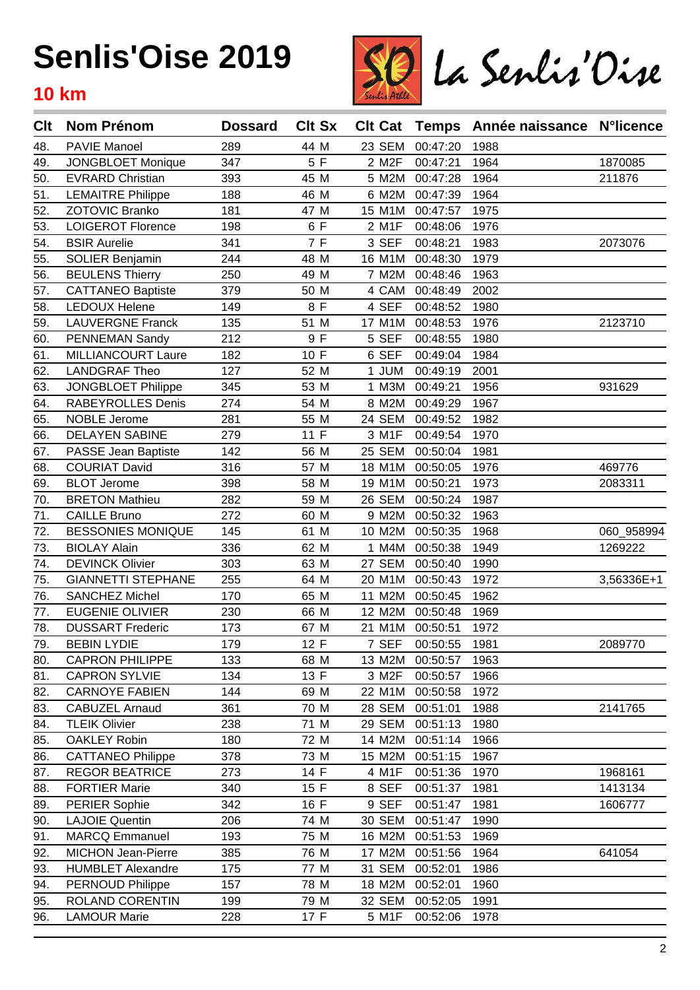

| Clt | <b>Nom Prénom</b>         | <b>Dossard</b> | <b>Clt Sx</b> | <b>Clt Cat</b> | Temps               | Année naissance N°licence |            |
|-----|---------------------------|----------------|---------------|----------------|---------------------|---------------------------|------------|
| 48. | <b>PAVIE Manoel</b>       | 289            | 44 M          | 23 SEM         | 00:47:20            | 1988                      |            |
| 49. | <b>JONGBLOET Monique</b>  | 347            | 5 F           | 2 M2F          | 00:47:21            | 1964                      | 1870085    |
| 50. | <b>EVRARD Christian</b>   | 393            | 45 M          | 5 M2M          | 00:47:28            | 1964                      | 211876     |
| 51. | <b>LEMAITRE Philippe</b>  | 188            | 46 M          | 6 M2M          | 00:47:39            | 1964                      |            |
| 52. | ZOTOVIC Branko            | 181            | 47 M          | 15 M1M         | 00:47:57            | 1975                      |            |
| 53. | <b>LOIGEROT Florence</b>  | 198            | 6 F           | 2 M1F          | 00:48:06            | 1976                      |            |
| 54. | <b>BSIR Aurelie</b>       | 341            | 7 F           | 3 SEF          | 00:48:21            | 1983                      | 2073076    |
| 55. | <b>SOLIER Benjamin</b>    | 244            | 48 M          | 16 M1M         | 00:48:30            | 1979                      |            |
| 56. | <b>BEULENS Thierry</b>    | 250            | 49 M          | 7 M2M          | 00:48:46            | 1963                      |            |
| 57. | <b>CATTANEO Baptiste</b>  | 379            | 50 M          | 4 CAM          | 00:48:49            | 2002                      |            |
| 58. | <b>LEDOUX Helene</b>      | 149            | 8 F           | 4 SEF          | 00:48:52            | 1980                      |            |
| 59. | <b>LAUVERGNE Franck</b>   | 135            | 51 M          | 17 M1M         | 00:48:53            | 1976                      | 2123710    |
| 60. | PENNEMAN Sandy            | 212            | 9 F           | 5 SEF          | 00:48:55            | 1980                      |            |
| 61. | MILLIANCOURT Laure        | 182            | 10 F          | 6 SEF          | 00:49:04            | 1984                      |            |
| 62. | <b>LANDGRAF Theo</b>      | 127            | 52 M          | 1 JUM          | 00:49:19            | 2001                      |            |
| 63. | JONGBLOET Philippe        | 345            | 53 M          | 1 M3M          | 00:49:21            | 1956                      | 931629     |
| 64. | <b>RABEYROLLES Denis</b>  | 274            | 54 M          | 8 M2M          | 00:49:29            | 1967                      |            |
| 65. | <b>NOBLE Jerome</b>       | 281            | 55 M          | 24 SEM         | 00:49:52            | 1982                      |            |
| 66. | <b>DELAYEN SABINE</b>     | 279            | 11 F          | 3 M1F          | 00:49:54            | 1970                      |            |
| 67. | PASSE Jean Baptiste       | 142            | 56 M          | 25 SEM         | 00:50:04            | 1981                      |            |
| 68. | <b>COURIAT David</b>      | 316            | 57 M          | 18 M1M         | 00:50:05            | 1976                      | 469776     |
| 69. | <b>BLOT Jerome</b>        | 398            | 58 M          | 19 M1M         | 00:50:21            | 1973                      | 2083311    |
| 70. | <b>BRETON Mathieu</b>     | 282            | 59 M          | 26 SEM         | 00:50:24            | 1987                      |            |
| 71. | <b>CAILLE Bruno</b>       | 272            | 60 M          | 9 M2M          | 00:50:32            | 1963                      |            |
| 72. | <b>BESSONIES MONIQUE</b>  | 145            | 61 M          | 10 M2M         | 00:50:35            | 1968                      | 060_958994 |
| 73. | <b>BIOLAY Alain</b>       | 336            | 62 M          | 1 M4M          | 00:50:38            | 1949                      | 1269222    |
| 74. | <b>DEVINCK Olivier</b>    | 303            | 63 M          | 27 SEM         | 00:50:40            | 1990                      |            |
| 75. | <b>GIANNETTI STEPHANE</b> | 255            | 64 M          | 20 M1M         | 00:50:43            | 1972                      | 3,56336E+1 |
| 76. | <b>SANCHEZ Michel</b>     | 170            | 65 M          | 11 M2M         | 00:50:45            | 1962                      |            |
| 77. | <b>EUGENIE OLIVIER</b>    | 230            | 66 M          | 12 M2M         | 00:50:48            | 1969                      |            |
| 78. | <b>DUSSART Frederic</b>   | 173            | 67 M          |                | 21 M1M 00:50:51     | 1972                      |            |
| 79. | <b>BEBIN LYDIE</b>        | 179            | 12 F          |                | 7 SEF 00:50:55 1981 |                           | 2089770    |
| 80. | <b>CAPRON PHILIPPE</b>    | 133            | 68 M          | 13 M2M         | 00:50:57            | 1963                      |            |
| 81. | <b>CAPRON SYLVIE</b>      | 134            | 13 F          | 3 M2F          | 00:50:57            | 1966                      |            |
| 82. | <b>CARNOYE FABIEN</b>     | 144            | 69 M          | 22 M1M         | 00:50:58            | 1972                      |            |
| 83. | <b>CABUZEL Arnaud</b>     | 361            | 70 M          | 28 SEM         | 00:51:01            | 1988                      | 2141765    |
| 84. | <b>TLEIK Olivier</b>      | 238            | 71 M          | 29 SEM         | 00:51:13            | 1980                      |            |
| 85. | <b>OAKLEY Robin</b>       | 180            | 72 M          | 14 M2M         | 00:51:14            | 1966                      |            |
| 86. | <b>CATTANEO Philippe</b>  | 378            | 73 M          | 15 M2M         | 00:51:15            | 1967                      |            |
| 87. | <b>REGOR BEATRICE</b>     | 273            | 14 F          | 4 M1F          | 00:51:36            | 1970                      | 1968161    |
| 88. | <b>FORTIER Marie</b>      | 340            | 15 F          | 8 SEF          | 00:51:37            | 1981                      | 1413134    |
| 89. | <b>PERIER Sophie</b>      | 342            | 16 F          | 9 SEF          | 00:51:47            | 1981                      | 1606777    |
| 90. | <b>LAJOIE Quentin</b>     | 206            | 74 M          | 30 SEM         | 00:51:47            | 1990                      |            |
| 91. | <b>MARCQ Emmanuel</b>     | 193            | 75 M          | 16 M2M         | 00:51:53            | 1969                      |            |
| 92. | MICHON Jean-Pierre        | 385            | 76 M          | 17 M2M         | 00:51:56            | 1964                      | 641054     |
| 93. | <b>HUMBLET Alexandre</b>  | 175            | 77 M          | 31 SEM         | 00:52:01            | 1986                      |            |
| 94. | PERNOUD Philippe          | 157            | 78 M          | 18 M2M         | 00:52:01            | 1960                      |            |
| 95. | ROLAND CORENTIN           | 199            | 79 M          | 32 SEM         | 00:52:05            | 1991                      |            |
| 96. | <b>LAMOUR Marie</b>       | 228            | 17 F          | 5 M1F          | 00:52:06            | 1978                      |            |
|     |                           |                |               |                |                     |                           |            |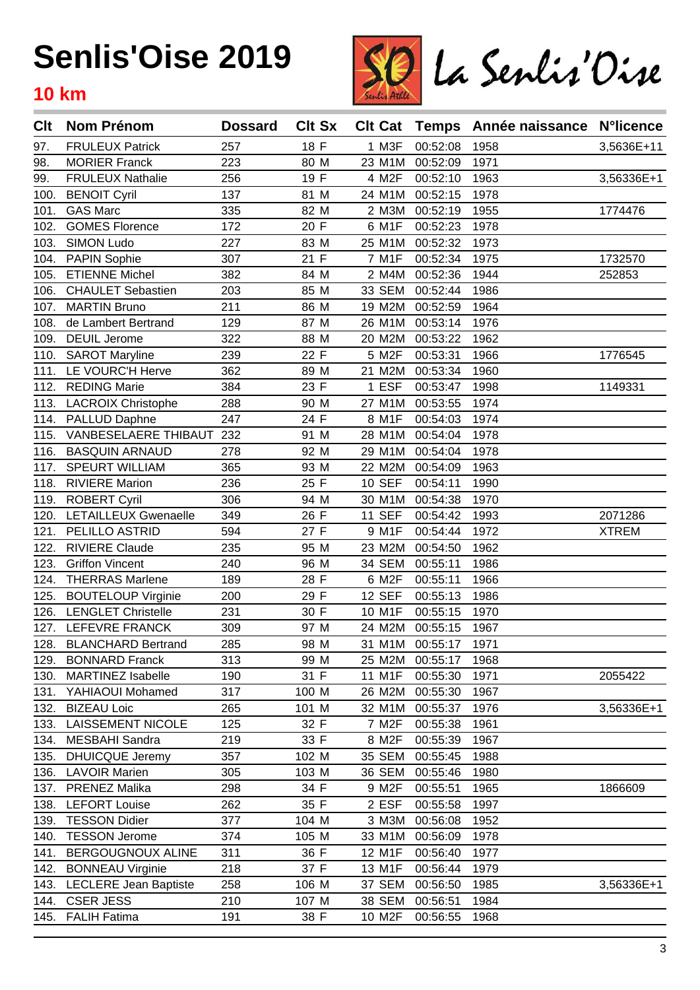

| Clt  | <b>Nom Prénom</b>            | <b>Dossard</b> | <b>Clt Sx</b> | <b>Clt Cat</b> |          | Temps Année naissance | <b>N°licence</b> |
|------|------------------------------|----------------|---------------|----------------|----------|-----------------------|------------------|
| 97.  | <b>FRULEUX Patrick</b>       | 257            | 18 F          | 1 M3F          | 00:52:08 | 1958                  | 3,5636E+11       |
| 98.  | <b>MORIER Franck</b>         | 223            | 80 M          | 23 M1M         | 00:52:09 | 1971                  |                  |
| 99.  | <b>FRULEUX Nathalie</b>      | 256            | 19 F          | 4 M2F          | 00:52:10 | 1963                  | 3,56336E+1       |
| 100. | <b>BENOIT Cyril</b>          | 137            | 81 M          | 24 M1M         | 00:52:15 | 1978                  |                  |
| 101. | <b>GAS Marc</b>              | 335            | 82 M          | 2 M3M          | 00:52:19 | 1955                  | 1774476          |
| 102. | <b>GOMES Florence</b>        | 172            | 20 F          | 6 M1F          | 00:52:23 | 1978                  |                  |
| 103. | <b>SIMON Ludo</b>            | 227            | 83 M          | 25 M1M         | 00:52:32 | 1973                  |                  |
| 104. | <b>PAPIN Sophie</b>          | 307            | 21 F          | 7 M1F          | 00:52:34 | 1975                  | 1732570          |
| 105. | <b>ETIENNE Michel</b>        | 382            | 84 M          | 2 M4M          | 00:52:36 | 1944                  | 252853           |
| 106. | <b>CHAULET Sebastien</b>     | 203            | 85 M          | 33 SEM         | 00:52:44 | 1986                  |                  |
| 107. | <b>MARTIN Bruno</b>          | 211            | 86 M          | 19 M2M         | 00:52:59 | 1964                  |                  |
| 108. | de Lambert Bertrand          | 129            | 87 M          | 26 M1M         | 00:53:14 | 1976                  |                  |
| 109. | <b>DEUIL Jerome</b>          | 322            | 88 M          | 20 M2M         | 00:53:22 | 1962                  |                  |
| 110. | <b>SAROT Maryline</b>        | 239            | 22 F          | 5 M2F          | 00:53:31 | 1966                  | 1776545          |
| 111. | LE VOURC'H Herve             | 362            | 89 M          | 21 M2M         | 00:53:34 | 1960                  |                  |
| 112. | <b>REDING Marie</b>          | 384            | 23 F          | 1 ESF          | 00:53:47 | 1998                  | 1149331          |
| 113. | <b>LACROIX Christophe</b>    | 288            | 90 M          | 27 M1M         | 00:53:55 | 1974                  |                  |
| 114. | PALLUD Daphne                | 247            | 24 F          | 8 M1F          | 00:54:03 | 1974                  |                  |
| 115. | VANBESELAERE THIBAUT         | 232            | 91 M          | 28 M1M         | 00:54:04 | 1978                  |                  |
| 116. | <b>BASQUIN ARNAUD</b>        | 278            | 92 M          | 29 M1M         | 00:54:04 | 1978                  |                  |
| 117. | <b>SPEURT WILLIAM</b>        | 365            | 93 M          | 22 M2M         | 00:54:09 | 1963                  |                  |
| 118. | <b>RIVIERE Marion</b>        | 236            | 25 F          | <b>10 SEF</b>  | 00:54:11 | 1990                  |                  |
| 119. | <b>ROBERT Cyril</b>          | 306            | 94 M          | 30 M1M         | 00:54:38 | 1970                  |                  |
| 120. | LETAILLEUX Gwenaelle         | 349            | 26 F          | <b>11 SEF</b>  | 00:54:42 | 1993                  | 2071286          |
| 121. | PELILLO ASTRID               | 594            | 27 F          | 9 M1F          | 00:54:44 | 1972                  | <b>XTREM</b>     |
| 122. | <b>RIVIERE Claude</b>        | 235            | 95 M          | 23 M2M         | 00:54:50 | 1962                  |                  |
| 123. | <b>Griffon Vincent</b>       | 240            | 96 M          | 34 SEM         | 00:55:11 | 1986                  |                  |
| 124. | <b>THERRAS Marlene</b>       | 189            | 28 F          | 6 M2F          | 00:55:11 | 1966                  |                  |
| 125. | <b>BOUTELOUP Virginie</b>    | 200            | 29 F          | <b>12 SEF</b>  | 00:55:13 | 1986                  |                  |
| 126. | <b>LENGLET Christelle</b>    | 231            | 30 F          | 10 M1F         | 00:55:15 | 1970                  |                  |
| 127. | LEFEVRE FRANCK               | 309            | 97 M          | 24 M2M         | 00:55:15 | 1967                  |                  |
| 128. | <b>BLANCHARD Bertrand</b>    | 285            | 98 M          | 31 M1M         | 00:55:17 | 1971                  |                  |
| 129. | <b>BONNARD Franck</b>        | 313            | 99 M          | 25 M2M         | 00:55:17 | 1968                  |                  |
| 130. | <b>MARTINEZ Isabelle</b>     | 190            | 31 F          | 11 M1F         | 00:55:30 | 1971                  | 2055422          |
| 131. | YAHIAOUI Mohamed             | 317            | 100 M         | 26 M2M         | 00:55:30 | 1967                  |                  |
| 132. | <b>BIZEAU Loic</b>           | 265            | 101 M         | 32 M1M         | 00:55:37 | 1976                  | 3,56336E+1       |
| 133. | <b>LAISSEMENT NICOLE</b>     | 125            | 32 F          | 7 M2F          | 00:55:38 | 1961                  |                  |
| 134. | MESBAHI Sandra               | 219            | 33 F          | 8 M2F          | 00:55:39 | 1967                  |                  |
| 135. | <b>DHUICQUE Jeremy</b>       | 357            | 102 M         | <b>35 SEM</b>  | 00:55:45 | 1988                  |                  |
| 136. | <b>LAVOIR Marien</b>         | 305            | 103 M         | 36 SEM         | 00:55:46 | 1980                  |                  |
| 137. | <b>PRENEZ Malika</b>         | 298            | 34 F          | 9 M2F          | 00:55:51 | 1965                  | 1866609          |
| 138. | <b>LEFORT Louise</b>         | 262            | 35 F          | 2 ESF          | 00:55:58 | 1997                  |                  |
| 139. | <b>TESSON Didier</b>         | 377            | 104 M         | 3 M3M          | 00:56:08 | 1952                  |                  |
| 140. | <b>TESSON Jerome</b>         | 374            | 105 M         | 33 M1M         | 00:56:09 | 1978                  |                  |
| 141. | BERGOUGNOUX ALINE            | 311            | 36 F          | 12 M1F         | 00:56:40 | 1977                  |                  |
| 142. | <b>BONNEAU Virginie</b>      | 218            | 37 F          | 13 M1F         | 00:56:44 | 1979                  |                  |
| 143. | <b>LECLERE Jean Baptiste</b> | 258            | 106 M         | 37 SEM         | 00:56:50 | 1985                  | 3,56336E+1       |
| 144. | <b>CSER JESS</b>             | 210            | 107 M         | <b>38 SEM</b>  | 00:56:51 | 1984                  |                  |
| 145. | <b>FALIH Fatima</b>          | 191            | 38 F          | 10 M2F         | 00:56:55 | 1968                  |                  |
|      |                              |                |               |                |          |                       |                  |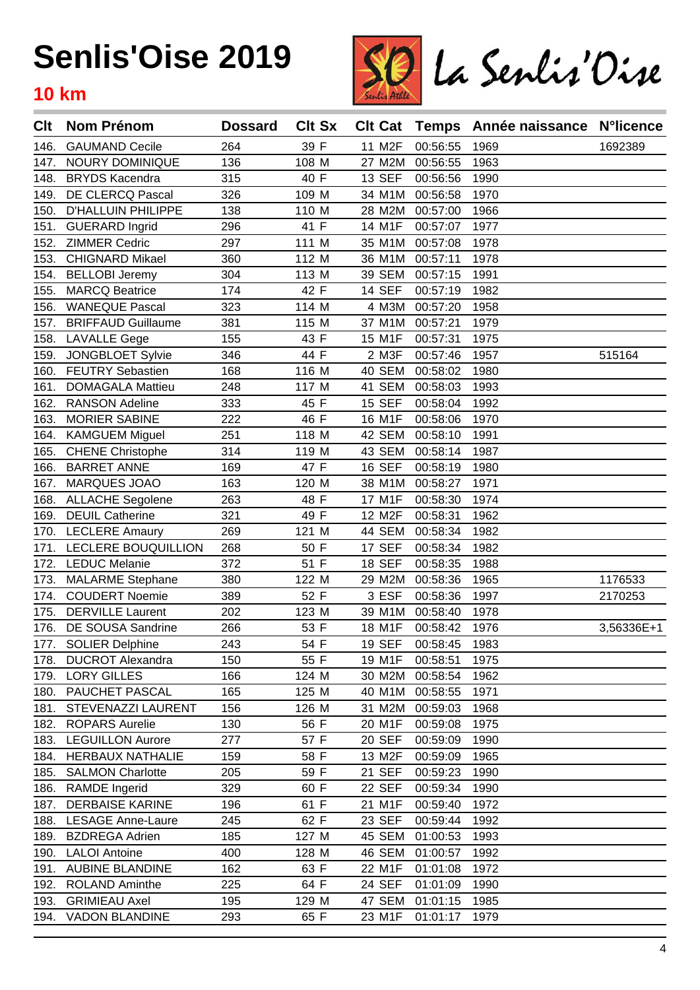

| Clt  | <b>Nom Prénom</b>         | <b>Dossard</b> | <b>Clt Sx</b> | <b>Clt Cat</b> |          | Temps Année naissance | <b>N°licence</b> |
|------|---------------------------|----------------|---------------|----------------|----------|-----------------------|------------------|
| 146. | <b>GAUMAND Cecile</b>     | 264            | 39 F          | 11 M2F         | 00:56:55 | 1969                  | 1692389          |
| 147. | NOURY DOMINIQUE           | 136            | 108 M         | 27 M2M         | 00:56:55 | 1963                  |                  |
| 148. | <b>BRYDS Kacendra</b>     | 315            | 40 F          | <b>13 SEF</b>  | 00:56:56 | 1990                  |                  |
| 149. | DE CLERCQ Pascal          | 326            | 109 M         | 34 M1M         | 00:56:58 | 1970                  |                  |
| 150. | <b>D'HALLUIN PHILIPPE</b> | 138            | 110 M         | 28 M2M         | 00:57:00 | 1966                  |                  |
| 151. | <b>GUERARD Ingrid</b>     | 296            | 41 F          | 14 M1F         | 00:57:07 | 1977                  |                  |
| 152. | <b>ZIMMER Cedric</b>      | 297            | 111 M         | 35 M1M         | 00:57:08 | 1978                  |                  |
| 153. | <b>CHIGNARD Mikael</b>    | 360            | 112 M         | 36 M1M         | 00:57:11 | 1978                  |                  |
| 154. | <b>BELLOBI Jeremy</b>     | 304            | 113 M         | 39 SEM         | 00:57:15 | 1991                  |                  |
| 155. | <b>MARCQ Beatrice</b>     | 174            | 42 F          | <b>14 SEF</b>  | 00:57:19 | 1982                  |                  |
| 156. | <b>WANEQUE Pascal</b>     | 323            | 114 M         | 4 M3M          | 00:57:20 | 1958                  |                  |
| 157. | <b>BRIFFAUD Guillaume</b> | 381            | 115 M         | 37 M1M         | 00:57:21 | 1979                  |                  |
| 158. | <b>LAVALLE Gege</b>       | 155            | 43 F          | 15 M1F         | 00:57:31 | 1975                  |                  |
| 159. | <b>JONGBLOET Sylvie</b>   | 346            | 44 F          | 2 M3F          | 00:57:46 | 1957                  | 515164           |
| 160. | <b>FEUTRY Sebastien</b>   | 168            | 116 M         | 40 SEM         | 00:58:02 | 1980                  |                  |
| 161. | <b>DOMAGALA Mattieu</b>   | 248            | 117 M         | 41 SEM         | 00:58:03 | 1993                  |                  |
| 162. | <b>RANSON Adeline</b>     | 333            | 45 F          | 15 SEF         | 00:58:04 | 1992                  |                  |
| 163. | <b>MORIER SABINE</b>      | 222            | 46 F          | 16 M1F         | 00:58:06 | 1970                  |                  |
| 164. | <b>KAMGUEM Miguel</b>     | 251            | 118 M         | 42 SEM         | 00:58:10 | 1991                  |                  |
| 165. | <b>CHENE Christophe</b>   | 314            | 119 M         | 43 SEM         | 00:58:14 | 1987                  |                  |
| 166. | <b>BARRET ANNE</b>        | 169            | 47 F          | 16 SEF         | 00:58:19 | 1980                  |                  |
| 167. | MARQUES JOAO              | 163            | 120 M         | 38 M1M         | 00:58:27 | 1971                  |                  |
| 168. | <b>ALLACHE Segolene</b>   | 263            | 48 F          | 17 M1F         | 00:58:30 | 1974                  |                  |
| 169. | <b>DEUIL Catherine</b>    | 321            | 49 F          | 12 M2F         | 00:58:31 | 1962                  |                  |
| 170. | <b>LECLERE Amaury</b>     | 269            | 121 M         | 44 SEM         | 00:58:34 | 1982                  |                  |
| 171. | LECLERE BOUQUILLION       | 268            | 50 F          | 17 SEF         | 00:58:34 | 1982                  |                  |
| 172. | <b>LEDUC Melanie</b>      | 372            | 51 F          | <b>18 SEF</b>  | 00:58:35 | 1988                  |                  |
| 173. | <b>MALARME Stephane</b>   | 380            | 122 M         | 29 M2M         | 00:58:36 | 1965                  | 1176533          |
| 174. | <b>COUDERT Noemie</b>     | 389            | 52 F          | 3 ESF          | 00:58:36 | 1997                  | 2170253          |
| 175. | <b>DERVILLE Laurent</b>   | 202            | 123 M         | 39 M1M         | 00:58:40 | 1978                  |                  |
| 176. | DE SOUSA Sandrine         | 266            | 53 F          | 18 M1F         | 00:58:42 | 1976                  | 3,56336E+1       |
|      | 177. SOLIER Delphine      | 243            | 54 F          | <b>19 SEF</b>  | 00:58:45 | 1983                  |                  |
| 178. | <b>DUCROT Alexandra</b>   | 150            | 55 F          | 19 M1F         | 00:58:51 | 1975                  |                  |
| 179. | <b>LORY GILLES</b>        | 166            | 124 M         | 30 M2M         | 00:58:54 | 1962                  |                  |
| 180. | PAUCHET PASCAL            | 165            | 125 M         | 40 M1M         | 00:58:55 | 1971                  |                  |
| 181. | STEVENAZZI LAURENT        | 156            | 126 M         | 31 M2M         | 00:59:03 | 1968                  |                  |
| 182. | <b>ROPARS Aurelie</b>     | 130            | 56 F          | 20 M1F         | 00:59:08 | 1975                  |                  |
| 183. | <b>LEGUILLON Aurore</b>   | 277            | 57 F          | 20 SEF         | 00:59:09 | 1990                  |                  |
| 184. | <b>HERBAUX NATHALIE</b>   | 159            | 58 F          | 13 M2F         | 00:59:09 | 1965                  |                  |
| 185. | <b>SALMON Charlotte</b>   | 205            | 59 F          | 21 SEF         | 00:59:23 | 1990                  |                  |
| 186. | <b>RAMDE</b> Ingerid      | 329            | 60 F          | <b>22 SEF</b>  | 00:59:34 | 1990                  |                  |
| 187. | <b>DERBAISE KARINE</b>    | 196            | 61 F          | 21 M1F         | 00:59:40 | 1972                  |                  |
| 188. | <b>LESAGE Anne-Laure</b>  | 245            | 62 F          | 23 SEF         | 00:59:44 | 1992                  |                  |
| 189. | <b>BZDREGA Adrien</b>     | 185            | 127 M         | 45 SEM         | 01:00:53 | 1993                  |                  |
| 190. | <b>LALOI</b> Antoine      | 400            | 128 M         | 46 SEM         | 01:00:57 | 1992                  |                  |
| 191. | <b>AUBINE BLANDINE</b>    | 162            | 63 F          | 22 M1F         | 01:01:08 | 1972                  |                  |
| 192. | <b>ROLAND Aminthe</b>     | 225            | 64 F          | 24 SEF         | 01:01:09 | 1990                  |                  |
| 193. | <b>GRIMIEAU Axel</b>      | 195            | 129 M         | 47 SEM         | 01:01:15 | 1985                  |                  |
|      | 194. VADON BLANDINE       | 293            | 65 F          | 23 M1F         | 01:01:17 | 1979                  |                  |
|      |                           |                |               |                |          |                       |                  |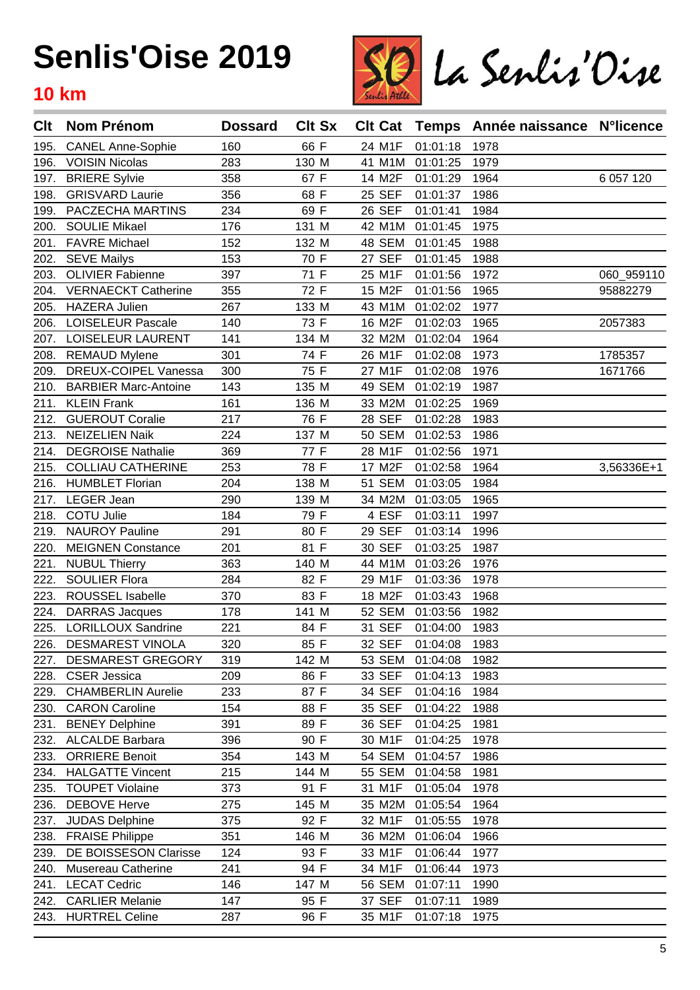

| Clt  | <b>Nom Prénom</b>           | <b>Dossard</b> | <b>Clt Sx</b> | <b>CIt Cat</b> |          | Temps Année naissance N°licence |               |
|------|-----------------------------|----------------|---------------|----------------|----------|---------------------------------|---------------|
| 195. | <b>CANEL Anne-Sophie</b>    | 160            | 66 F          | 24 M1F         | 01:01:18 | 1978                            |               |
| 196. | <b>VOISIN Nicolas</b>       | 283            | 130 M         | 41 M1M         | 01:01:25 | 1979                            |               |
| 197. | <b>BRIERE Sylvie</b>        | 358            | 67 F          | 14 M2F         | 01:01:29 | 1964                            | 6 0 5 7 1 2 0 |
| 198. | <b>GRISVARD Laurie</b>      | 356            | 68 F          | 25 SEF         | 01:01:37 | 1986                            |               |
| 199. | PACZECHA MARTINS            | 234            | 69 F          | 26 SEF         | 01:01:41 | 1984                            |               |
| 200. | <b>SOULIE Mikael</b>        | 176            | 131 M         | 42 M1M         | 01:01:45 | 1975                            |               |
| 201. | <b>FAVRE Michael</b>        | 152            | 132 M         | 48 SEM         | 01:01:45 | 1988                            |               |
| 202. | <b>SEVE Mailys</b>          | 153            | 70 F          | <b>27 SEF</b>  | 01:01:45 | 1988                            |               |
| 203. | <b>OLIVIER Fabienne</b>     | 397            | 71 F          | 25 M1F         | 01:01:56 | 1972                            | 060_959110    |
| 204. | <b>VERNAECKT Catherine</b>  | 355            | 72 F          | 15 M2F         | 01:01:56 | 1965                            | 95882279      |
| 205. | <b>HAZERA Julien</b>        | 267            | 133 M         | 43 M1M         | 01:02:02 | 1977                            |               |
| 206. | <b>LOISELEUR Pascale</b>    | 140            | 73 F          | 16 M2F         | 01:02:03 | 1965                            | 2057383       |
| 207. | <b>LOISELEUR LAURENT</b>    | 141            | 134 M         | 32 M2M         | 01:02:04 | 1964                            |               |
| 208. | <b>REMAUD Mylene</b>        | 301            | 74 F          | 26 M1F         | 01:02:08 | 1973                            | 1785357       |
| 209. | DREUX-COIPEL Vanessa        | 300            | 75 F          | 27 M1F         | 01:02:08 | 1976                            | 1671766       |
| 210. | <b>BARBIER Marc-Antoine</b> | 143            | 135 M         | 49 SEM         | 01:02:19 | 1987                            |               |
| 211. | <b>KLEIN Frank</b>          | 161            | 136 M         | 33 M2M         | 01:02:25 | 1969                            |               |
| 212. | <b>GUEROUT Coralie</b>      | 217            | 76 F          | 28 SEF         | 01:02:28 | 1983                            |               |
| 213. | <b>NEIZELIEN Naik</b>       | 224            | 137 M         | <b>50 SEM</b>  | 01:02:53 | 1986                            |               |
| 214. | <b>DEGROISE Nathalie</b>    | 369            | 77 F          | 28 M1F         | 01:02:56 | 1971                            |               |
| 215. | <b>COLLIAU CATHERINE</b>    | 253            | 78 F          | 17 M2F         | 01:02:58 | 1964                            | 3,56336E+1    |
| 216. | <b>HUMBLET Florian</b>      | 204            | 138 M         | <b>51 SEM</b>  | 01:03:05 | 1984                            |               |
| 217. | <b>LEGER Jean</b>           | 290            | 139 M         | 34 M2M         | 01:03:05 | 1965                            |               |
| 218. | <b>COTU Julie</b>           | 184            | 79 F          | 4 ESF          | 01:03:11 | 1997                            |               |
| 219. | <b>NAUROY Pauline</b>       | 291            | 80 F          | 29 SEF         | 01:03:14 | 1996                            |               |
| 220. | <b>MEIGNEN Constance</b>    | 201            | 81 F          | 30 SEF         | 01:03:25 | 1987                            |               |
| 221. | <b>NUBUL Thierry</b>        | 363            | 140 M         | 44 M1M         | 01:03:26 | 1976                            |               |
| 222. | <b>SOULIER Flora</b>        | 284            | 82 F          | 29 M1F         | 01:03:36 | 1978                            |               |
| 223. | ROUSSEL Isabelle            | 370            | 83 F          | 18 M2F         | 01:03:43 | 1968                            |               |
| 224. | <b>DARRAS Jacques</b>       | 178            | 141 M         | 52 SEM         | 01:03:56 | 1982                            |               |
| 225. | LORILLOUX Sandrine          | 221            | 84 F          | 31 SEF         | 01:04:00 | 1983                            |               |
|      | 226. DESMAREST VINOLA       | 320            | 85 F          | 32 SEF         | 01:04:08 | 1983                            |               |
| 227. | <b>DESMAREST GREGORY</b>    | 319            | 142 M         | 53 SEM         | 01:04:08 | 1982                            |               |
| 228. | <b>CSER Jessica</b>         | 209            | 86 F          | 33 SEF         | 01:04:13 | 1983                            |               |
| 229. | <b>CHAMBERLIN Aurelie</b>   | 233            | 87 F          | 34 SEF         | 01:04:16 | 1984                            |               |
| 230. | <b>CARON Caroline</b>       | 154            | 88 F          | 35 SEF         | 01:04:22 | 1988                            |               |
| 231. | <b>BENEY Delphine</b>       | 391            | 89 F          | 36 SEF         | 01:04:25 | 1981                            |               |
| 232. | <b>ALCALDE Barbara</b>      | 396            | 90 F          | 30 M1F         | 01:04:25 | 1978                            |               |
| 233. | <b>ORRIERE Benoit</b>       | 354            | 143 M         | <b>54 SEM</b>  | 01:04:57 | 1986                            |               |
| 234. | <b>HALGATTE Vincent</b>     | 215            | 144 M         | 55 SEM         | 01:04:58 | 1981                            |               |
| 235. | <b>TOUPET Violaine</b>      | 373            | 91 F          | 31 M1F         | 01:05:04 | 1978                            |               |
| 236. | <b>DEBOVE Herve</b>         | 275            | 145 M         | 35 M2M         | 01:05:54 | 1964                            |               |
| 237. | <b>JUDAS Delphine</b>       | 375            | 92 F          | 32 M1F         | 01:05:55 | 1978                            |               |
| 238. | <b>FRAISE Philippe</b>      | 351            | 146 M         | 36 M2M         | 01:06:04 | 1966                            |               |
| 239. | DE BOISSESON Clarisse       | 124            | 93 F          | 33 M1F         | 01:06:44 | 1977                            |               |
| 240. | Musereau Catherine          | 241            | 94 F          | 34 M1F         | 01:06:44 | 1973                            |               |
| 241. | <b>LECAT Cedric</b>         | 146            | 147 M         | <b>56 SEM</b>  | 01:07:11 | 1990                            |               |
| 242. | <b>CARLIER Melanie</b>      | 147            | 95 F          | 37 SEF         | 01:07:11 | 1989                            |               |
| 243. | <b>HURTREL Celine</b>       | 287            | 96 F          | 35 M1F         | 01:07:18 | 1975                            |               |
|      |                             |                |               |                |          |                                 |               |